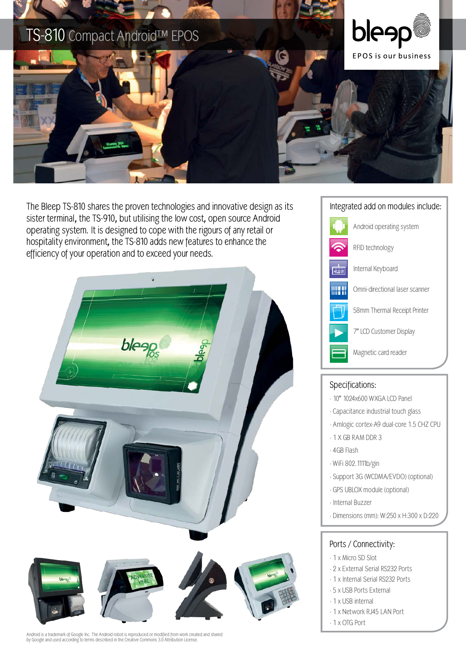

The Bleep TS-810 shares the proven technologies and innovative design as its Integrated add on modules include: sister terminal, the TS-910, but utilising the low cost, open source Android operating system. It is designed to cope with the rigours of any retail or hospitality environment, the TS-810 adds new features to enhance the efficiency of your operation and to exceed your needs.



Android is a trademark of Google Inc. The Android robot is reproduced or modified from work created and shared by Google and used according to terms described in the Creative Commons 3.0 Attribution License.



## Specifications:

- · 10" 1024x600 WXGA LCD Panel
- · Capacitance industrial touch glass
- · Amlogic cortex-A9 dual-core 1.5 CHZ CPU
- · 1 X GB RAM DDR 3
- · 4GB Flash
- · WiFi 802.1111b/gin
- · Support 3G (WCDMA/EVDO) (optional)
- · GPS UBLOX module (optional)
- · Internal Buzzer
- · Dimensions (mm): W:250 x H:300 x D:220

## Ports / Connectivity:

- · 1 x Micro SD Slot
- · 2 x External Serial RS232 Ports
- · 1 x Internal Serial RS232 Ports
- · 5 x USB Ports External
- · 1 x USB internal
- · 1 x Network RJ45 LAN Port
- · 1 x OTG Port